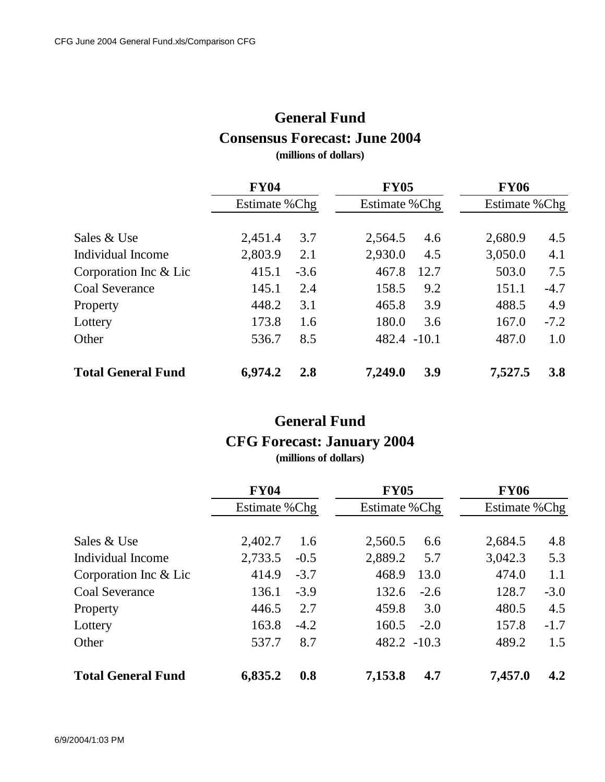## **General Fund Consensus Forecast: June 2004**

**(millions of dollars)**

|                           | <b>FY04</b><br>Estimate % Chg |        |             | <b>FY05</b><br>Estimate % Chg |         | <b>FY06</b><br>Estimate % Chg |  |
|---------------------------|-------------------------------|--------|-------------|-------------------------------|---------|-------------------------------|--|
|                           |                               |        |             |                               |         |                               |  |
| Sales & Use               | 2,451.4                       | 3.7    | 2,564.5     | 4.6                           | 2,680.9 | 4.5                           |  |
| Individual Income         | 2,803.9                       | 2.1    | 2,930.0     | 4.5                           | 3,050.0 | 4.1                           |  |
| Corporation Inc & Lic     | 415.1                         | $-3.6$ | 467.8       | 12.7                          | 503.0   | 7.5                           |  |
| <b>Coal Severance</b>     | 145.1                         | 2.4    | 158.5       | 9.2                           | 151.1   | $-4.7$                        |  |
| Property                  | 448.2                         | 3.1    | 465.8       | 3.9                           | 488.5   | 4.9                           |  |
| Lottery                   | 173.8                         | 1.6    | 180.0       | 3.6                           | 167.0   | $-7.2$                        |  |
| Other                     | 536.7                         | 8.5    | 482.4 -10.1 |                               | 487.0   | 1.0                           |  |
| <b>Total General Fund</b> | 6,974.2                       | 2.8    | 7,249.0     | 3.9                           | 7,527.5 | <b>3.8</b>                    |  |

## **General Fund CFG Forecast: January 2004**

**(millions of dollars)**

|                           | <b>FY04</b><br>Estimate % Chg |        | <b>FY05</b>    |                | <b>FY06</b> |                |
|---------------------------|-------------------------------|--------|----------------|----------------|-------------|----------------|
|                           |                               |        |                | Estimate % Chg |             | Estimate % Chg |
| Sales & Use               | 2,402.7                       | 1.6    | 2,560.5        | 6.6            | 2,684.5     | 4.8            |
| Individual Income         | 2,733.5                       | $-0.5$ | 2,889.2        | 5.7            | 3,042.3     | 5.3            |
| Corporation Inc & Lic     | 414.9                         | $-3.7$ | 468.9          | 13.0           | 474.0       | 1.1            |
| <b>Coal Severance</b>     | 136.1                         | $-3.9$ | 132.6          | $-2.6$         | 128.7       | $-3.0$         |
| Property                  | 446.5                         | 2.7    | 459.8          | 3.0            | 480.5       | 4.5            |
| Lottery                   | 163.8                         | $-4.2$ | 160.5          | $-2.0$         | 157.8       | $-1.7$         |
| Other                     | 537.7                         | 8.7    | $482.2 - 10.3$ |                | 489.2       | 1.5            |
| <b>Total General Fund</b> | 6,835.2                       | 0.8    | 7,153.8        | 4.7            | 7,457.0     | 4.2            |